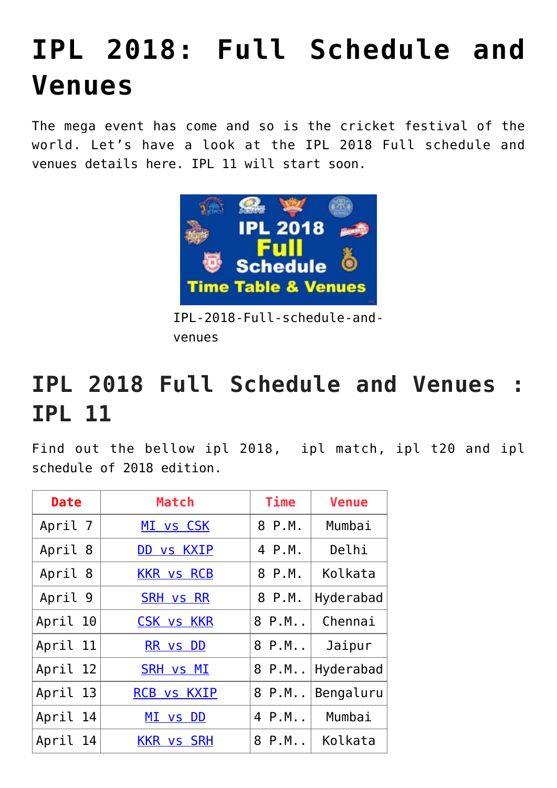## **[IPL 2018: Full Schedule and](https://www.sportstakis.com/ipl-2018-full-schedule-and-venues/) [Venues](https://www.sportstakis.com/ipl-2018-full-schedule-and-venues/)**

The mega event has come and so is the cricket festival of the world. Let's have a look at the IPL 2018 Full schedule and venues details here. IPL 11 will start soon.



IPL-2018-Full-schedule-andvenues

## **IPL 2018 Full Schedule and Venues : IPL 11**

Find out the bellow ipl 2018, ipl match, ipl t20 and ipl schedule of 2018 edition.

| <b>Date</b> | <b>Match</b>      | <b>Time</b>      | <b>Venue</b> |
|-------------|-------------------|------------------|--------------|
| April 7     | MI vs CSK         | 8 P.M.           | Mumbai       |
| April 8     | DD vs KXIP        | 4 P.M.           | Delhi        |
| April 8     | <b>KKR vs RCB</b> | 8 P.M.           | Kolkata      |
| April 9     | <b>SRH vs RR</b>  | 8 P.M.           | Hyderabad    |
| April 10    | <b>CSK vs KKR</b> | 8 P.M            | Chennai      |
| April 11    | RR vs DD          | 8 P.M            | Jaipur       |
| April 12    | <b>SRH vs MI</b>  | 8 P.M            | Hyderabad    |
| April 13    | RCB vs KXIP       | 8 P.M            | Bengaluru    |
| April 14    | МI<br>vs DD       | 4 P.M            | Mumbai       |
| April<br>14 | <b>KKR vs SRH</b> | $8$ P.M. $\vert$ | Kolkata      |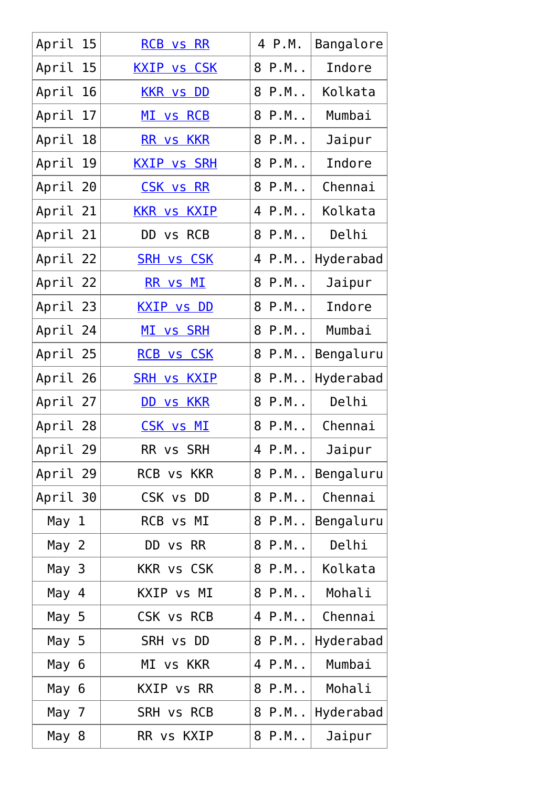| April 15    | <b>RCB vs RR</b>   | 4 P.M.        | Bangalore |
|-------------|--------------------|---------------|-----------|
| April 15    | <b>KXIP vs CSK</b> | $P.M.$ .<br>8 | Indore    |
| April<br>16 | <b>KKR vs DD</b>   | $P.M.$ .<br>8 | Kolkata   |
| April 17    | MI vs RCB          | 8 P.M         | Mumbai    |
| April<br>18 | RR vs KKR          | P.M<br>8      | Jaipur    |
| April 19    | <b>KXIP vs SRH</b> | $P.M.$ .<br>8 | Indore    |
| April 20    | CSK vs RR          | $P.M.$ .<br>8 | Chennai   |
| April 21    | <b>KKR vs KXIP</b> | 4 P.M         | Kolkata   |
| April 21    | DD vs RCB          | 8 P.M         | Delhi     |
| April 22    | <b>SRH vs CSK</b>  | P.M<br>4      | Hyderabad |
| April 22    | RR vs MI           | $P.M.$ .<br>8 | Jaipur    |
| April 23    | <u>KXIP vs DD</u>  | 8 P.M         | Indore    |
| April 24    | MI vs SRH          | $P.M.$ .<br>8 | Mumbai    |
| April 25    | <b>RCB vs CSK</b>  | 8<br>$P.M.$ . | Bengaluru |
| April 26    | <b>SRH vs KXIP</b> | $P.M.$ .<br>8 | Hyderabad |
| April 27    | DD vs KKR          | 8 P.M         | Delhi     |
| April 28    | <u>CSK vs MI</u>   | $P.M.$ .<br>8 | Chennai   |
| April 29    | RR vs SRH          | 4 P.M         | Jaipur    |
| April 29    | RCB vs KKR         | 8 P.M         | Bengaluru |
| April 30    | CSK vs DD          | 8 P.M         | Chennai   |
| May 1       | RCB vs MI          | 8 P.M         | Bengaluru |
| May 2       | DD vs RR           | 8 P.M         | Delhi     |
| May 3       | KKR vs CSK         | 8 P.M         | Kolkata   |
| May 4       | KXIP vs MI         | 8 P.M         | Mohali    |
| May 5       | CSK vs RCB         | 4 P.M         | Chennai   |
| May 5       | SRH vs DD          | 8 P.M         | Hyderabad |
| May 6       | MI vs KKR          | 4 P.M         | Mumbai    |
| May 6       | <b>KXIP vs RR</b>  | 8 P.M         | Mohali    |
| May 7       | SRH vs RCB         | 8 P.M         | Hyderabad |
| May 8       | RR vs KXIP         | 8 P.M         | Jaipur    |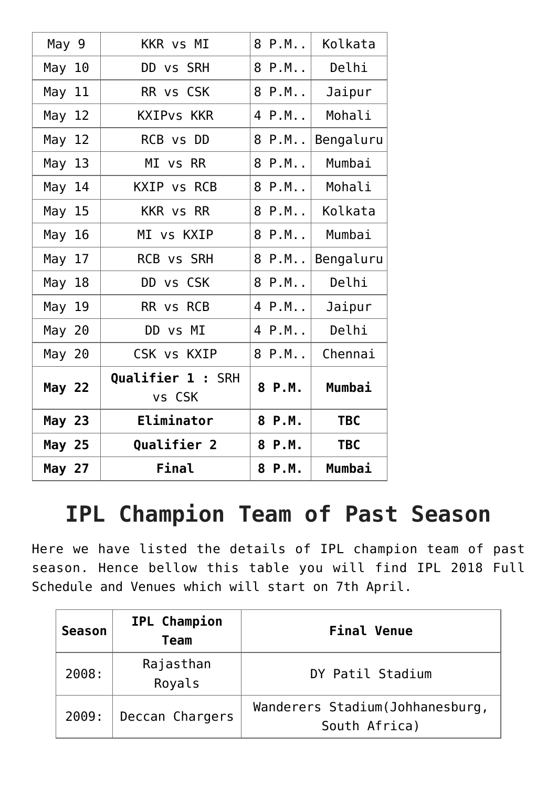|               | Final<br>8 P.M.<br><b>May 27</b> |                                    | Mumbai               |         |            |
|---------------|----------------------------------|------------------------------------|----------------------|---------|------------|
| <b>May 25</b> |                                  | Qualifier 2                        |                      | 8 P.M.  | <b>TBC</b> |
| <b>May 23</b> |                                  | Eliminator                         | 8 P.M.<br><b>TBC</b> |         |            |
| <b>May 22</b> |                                  | <b>Qualifier 1 : SRH</b><br>vs CSK | 8 P.M.<br>Mumbai     |         |            |
| May 20        |                                  | CSK vs KXIP                        |                      | 8 P.M   | Chennai    |
| May 20        |                                  | DD vs MI                           |                      | 4 P.M   | Delhi      |
| May 19        |                                  | RR vs RCB                          |                      | 4 P.M   | Jaipur     |
| May 18        |                                  | DD vs CSK                          |                      | 8 P.M., | Delhi      |
| May 17        |                                  | RCB vs SRH                         |                      | 8 P.M   | Bengaluru  |
| May 16        |                                  | MI vs KXIP                         |                      | 8 P.M   | Mumbai     |
| May 15        |                                  | <b>KKR vs RR</b>                   |                      | 8 P.M   | Kolkata    |
| May 14        |                                  | <b>KXIP vs RCB</b>                 |                      | 8 P.M   | Mohali     |
| May 13        |                                  | 8 P.M<br>MI vs RR                  |                      |         | Mumbai     |
| May 12        |                                  | RCB vs DD                          |                      | 8 P.M   | Bengaluru  |
| May 12        |                                  | <b>KXIPvs KKR</b>                  |                      | 4 P.M   | Mohali     |
| May 11        |                                  | RR vs CSK                          |                      | 8 P.M   | Jaipur     |
| May 10        |                                  | DD vs SRH                          |                      | 8 P.M   | Delhi      |
| May 9         |                                  | KKR vs MI                          |                      | 8 P.M   | Kolkata    |

## **IPL Champion Team of Past Season**

Here we have listed the details of IPL champion team of past season. Hence bellow this table you will find IPL 2018 Full Schedule and Venues which will start on 7th April.

| <b>Season</b> | <b>IPL Champion</b><br><b>Team</b> | <b>Final Venue</b>                                |
|---------------|------------------------------------|---------------------------------------------------|
| 2008:         | Rajasthan<br>Royals                | DY Patil Stadium                                  |
| 2009:         | Deccan Chargers                    | Wanderers Stadium (Johhanesburg,<br>South Africa) |